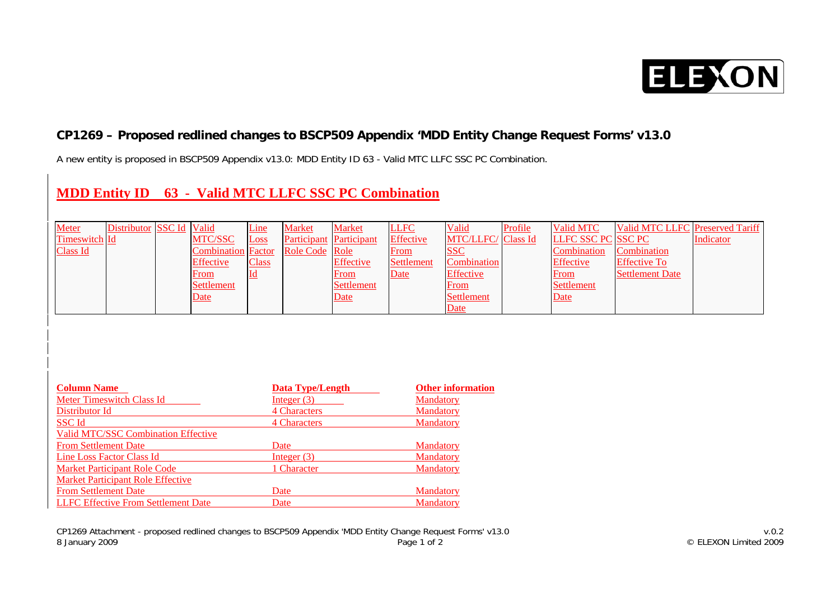

## **CP1269 – Proposed redlined changes to BSCP509 Appendix 'MDD Entity Change Request Forms' v13.0**

A new entity is proposed in BSCP509 Appendix v13.0: MDD Entity ID 63 - Valid MTC LLFC SSC PC Combination.

## **MDD Entity ID 63 - Valid MTC LLFC SSC PC Combination**

| Meter           | Distributor SSC Id Valid |                           | Line                      | <b>Market</b>                  | <b>Market</b> | <b>LLFC</b>      | Valid                     | Profile | <b>Valid MTC</b>   | Valid MTC LLFC Preserved Tariff |           |
|-----------------|--------------------------|---------------------------|---------------------------|--------------------------------|---------------|------------------|---------------------------|---------|--------------------|---------------------------------|-----------|
| Timeswitch Id   |                          | <b>MTC/SSC</b>            | Loss                      | <b>Participant</b> Participant |               | <b>Effective</b> | <b>MTC/LLFC/ Class Id</b> |         | LLFC SSC PC SSC PC |                                 | Indicator |
| <b>Class Id</b> |                          | <b>Combination Factor</b> |                           | Role Code Role                 |               | From             | <b>SSC</b>                |         | Combination        | Combination                     |           |
|                 |                          | <b>Effective</b>          | <b>Class</b>              |                                | Effective     | Settlement       | Combination               |         | <b>Effective</b>   | <b>Effective To</b>             |           |
|                 |                          | From                      | $\underline{\mathbf{Id}}$ |                                | <b>From</b>   | Date             | <b>Effective</b>          |         | From               | <b>Settlement Date</b>          |           |
|                 |                          | Settlement                |                           |                                | Settlement    |                  | From                      |         | Settlement         |                                 |           |
|                 |                          | Date                      |                           |                                | <b>Date</b>   |                  | Settlement                |         | <b>Date</b>        |                                 |           |
|                 |                          |                           |                           |                                |               |                  | Date                      |         |                    |                                 |           |

| <b>Column Name</b>                         | <b>Data Type/Length</b> | <b>Other information</b> |
|--------------------------------------------|-------------------------|--------------------------|
| <b>Meter Timeswitch Class Id</b>           | Integer $(3)$           | <b>Mandatory</b>         |
| Distributor Id                             | 4 Characters            | <b>Mandatory</b>         |
| SSC <sub>Id</sub>                          | 4 Characters            | <b>Mandatory</b>         |
| <b>Valid MTC/SSC Combination Effective</b> |                         |                          |
| <b>From Settlement Date</b>                | Date                    | <b>Mandatory</b>         |
| Line Loss Factor Class Id                  | Integer $(3)$           | Mandatory                |
| <b>Market Participant Role Code</b>        | 1 Character             | <b>Mandatory</b>         |
| <b>Market Participant Role Effective</b>   |                         |                          |
| <b>From Settlement Date</b>                | Date                    | <b>Mandatory</b>         |
| <b>LLFC</b> Effective From Settlement Date | Date                    | <b>Mandatory</b>         |

v.0.2<br>V.0.2 v.0.2 cP1269 Attachment - proposed redlined changes to BSCP509 Appendix 'MDD Entity Change Request Forms' v13.0<br>Page 1 of 2 comming a comming a comming the state of 2 comming a comming a comming a comming a com